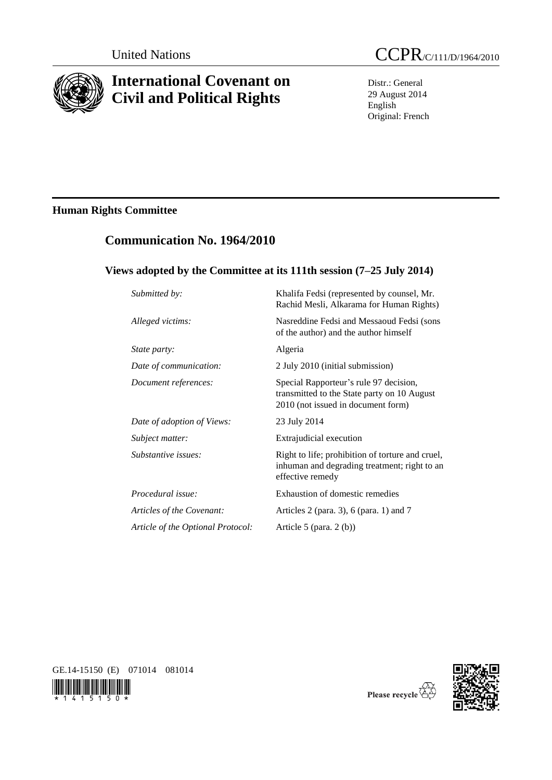

# **International Covenant on Civil and Political Rights**

Distr.: General 29 August 2014 English Original: French

# **Human Rights Committee**

# **Communication No. 1964/2010**

## **Views adopted by the Committee at its 111th session (7–25 July 2014)**

| Submitted by:                     | Khalifa Fedsi (represented by counsel, Mr.<br>Rachid Mesli, Alkarama for Human Rights)                                      |
|-----------------------------------|-----------------------------------------------------------------------------------------------------------------------------|
| Alleged victims:                  | Nasreddine Fedsi and Messaoud Fedsi (sons<br>of the author) and the author himself                                          |
| <i>State party:</i>               | Algeria                                                                                                                     |
| Date of communication:            | 2 July 2010 (initial submission)                                                                                            |
| Document references:              | Special Rapporteur's rule 97 decision,<br>transmitted to the State party on 10 August<br>2010 (not issued in document form) |
| Date of adoption of Views:        | 23 July 2014                                                                                                                |
| Subject matter:                   | Extrajudicial execution                                                                                                     |
| Substantive issues:               | Right to life; prohibition of torture and cruel,<br>inhuman and degrading treatment; right to an<br>effective remedy        |
| Procedural issue:                 | Exhaustion of domestic remedies                                                                                             |
| Articles of the Covenant:         | Articles 2 (para. 3), $6$ (para. 1) and $7$                                                                                 |
| Article of the Optional Protocol: | Article 5 (para. $2(b)$ )                                                                                                   |

GE.14-15150 (E) 071014 081014





Please recycle  $\overleftrightarrow{C}$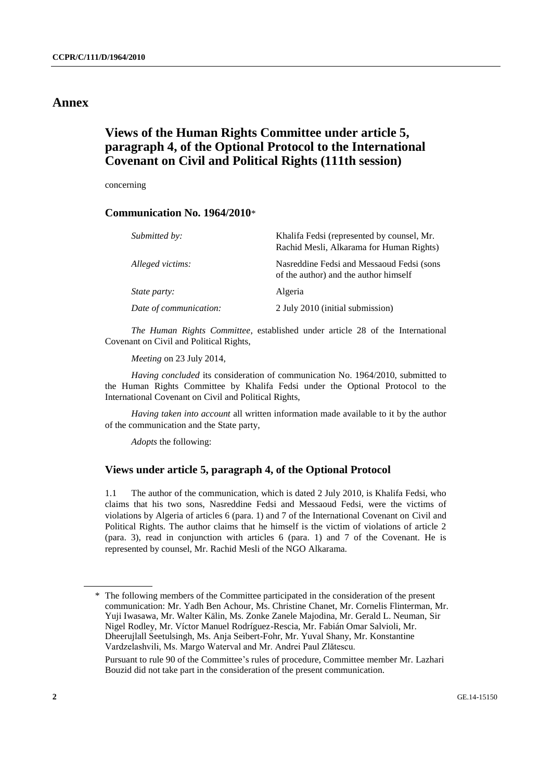### **Annex**

### **Views of the Human Rights Committee under article 5, paragraph 4, of the Optional Protocol to the International Covenant on Civil and Political Rights (111th session)**

concerning

### **Communication No. 1964/2010**\*

| Submitted by:          | Khalifa Fedsi (represented by counsel, Mr.<br>Rachid Mesli, Alkarama for Human Rights) |
|------------------------|----------------------------------------------------------------------------------------|
| Alleged victims:       | Nasreddine Fedsi and Messaoud Fedsi (sons)<br>of the author) and the author himself    |
| <i>State party:</i>    | Algeria                                                                                |
| Date of communication: | 2 July 2010 (initial submission)                                                       |

*The Human Rights Committee*, established under article 28 of the International Covenant on Civil and Political Rights,

*Meeting* on 23 July 2014,

*Having concluded* its consideration of communication No. 1964/2010, submitted to the Human Rights Committee by Khalifa Fedsi under the Optional Protocol to the International Covenant on Civil and Political Rights,

*Having taken into account* all written information made available to it by the author of the communication and the State party,

*Adopts* the following:

### **Views under article 5, paragraph 4, of the Optional Protocol**

1.1 The author of the communication, which is dated 2 July 2010, is Khalifa Fedsi, who claims that his two sons, Nasreddine Fedsi and Messaoud Fedsi, were the victims of violations by Algeria of articles 6 (para. 1) and 7 of the International Covenant on Civil and Political Rights. The author claims that he himself is the victim of violations of article 2 (para. 3), read in conjunction with articles 6 (para. 1) and 7 of the Covenant. He is represented by counsel, Mr. Rachid Mesli of the NGO Alkarama.

<sup>\*</sup> The following members of the Committee participated in the consideration of the present communication: Mr. Yadh Ben Achour, Ms. Christine Chanet, Mr. Cornelis Flinterman, Mr. Yuji Iwasawa, Mr. Walter Kälin, Ms. Zonke Zanele Majodina, Mr. Gerald L. Neuman, Sir Nigel Rodley, Mr. Víctor Manuel Rodríguez-Rescia, Mr. Fabián Omar Salvioli, Mr. Dheerujlall Seetulsingh, Ms. Anja Seibert-Fohr, Mr. Yuval Shany, Mr. Konstantine Vardzelashvili, Ms. Margo Waterval and Mr. Andrei Paul Zlătescu. Pursuant to rule 90 of the Committee's rules of procedure, Committee member Mr. Lazhari Bouzid did not take part in the consideration of the present communication.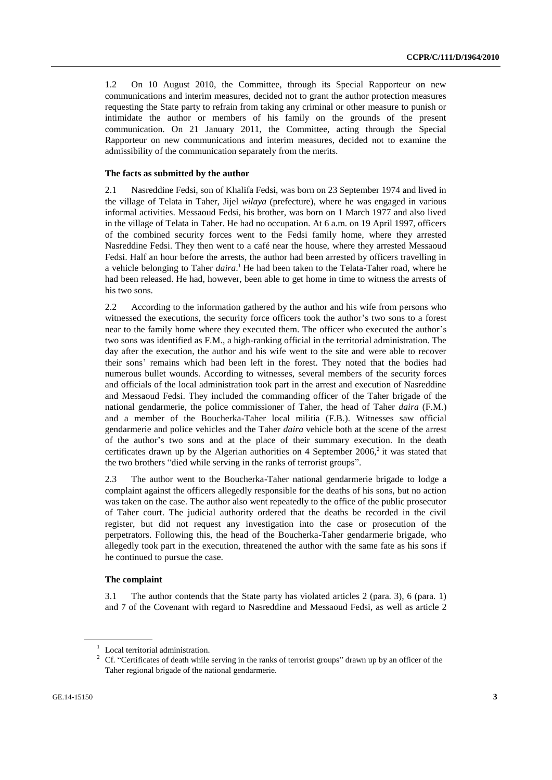1.2 On 10 August 2010, the Committee, through its Special Rapporteur on new communications and interim measures, decided not to grant the author protection measures requesting the State party to refrain from taking any criminal or other measure to punish or intimidate the author or members of his family on the grounds of the present communication. On 21 January 2011, the Committee, acting through the Special Rapporteur on new communications and interim measures, decided not to examine the admissibility of the communication separately from the merits.

#### **The facts as submitted by the author**

2.1 Nasreddine Fedsi, son of Khalifa Fedsi, was born on 23 September 1974 and lived in the village of Telata in Taher, Jijel *wilaya* (prefecture), where he was engaged in various informal activities. Messaoud Fedsi, his brother, was born on 1 March 1977 and also lived in the village of Telata in Taher. He had no occupation. At 6 a.m. on 19 April 1997, officers of the combined security forces went to the Fedsi family home, where they arrested Nasreddine Fedsi. They then went to a café near the house, where they arrested Messaoud Fedsi. Half an hour before the arrests, the author had been arrested by officers travelling in a vehicle belonging to Taher *daira*. <sup>1</sup> He had been taken to the Telata-Taher road, where he had been released. He had, however, been able to get home in time to witness the arrests of his two sons.

2.2 According to the information gathered by the author and his wife from persons who witnessed the executions, the security force officers took the author's two sons to a forest near to the family home where they executed them. The officer who executed the author's two sons was identified as F.M., a high-ranking official in the territorial administration. The day after the execution, the author and his wife went to the site and were able to recover their sons' remains which had been left in the forest. They noted that the bodies had numerous bullet wounds. According to witnesses, several members of the security forces and officials of the local administration took part in the arrest and execution of Nasreddine and Messaoud Fedsi. They included the commanding officer of the Taher brigade of the national gendarmerie, the police commissioner of Taher, the head of Taher *daira* (F.M.) and a member of the Boucherka-Taher local militia (F.B.). Witnesses saw official gendarmerie and police vehicles and the Taher *daira* vehicle both at the scene of the arrest of the author's two sons and at the place of their summary execution. In the death certificates drawn up by the Algerian authorities on 4 September  $2006$ <sup>2</sup>, it was stated that the two brothers "died while serving in the ranks of terrorist groups".

2.3 The author went to the Boucherka-Taher national gendarmerie brigade to lodge a complaint against the officers allegedly responsible for the deaths of his sons, but no action was taken on the case. The author also went repeatedly to the office of the public prosecutor of Taher court. The judicial authority ordered that the deaths be recorded in the civil register, but did not request any investigation into the case or prosecution of the perpetrators. Following this, the head of the Boucherka-Taher gendarmerie brigade, who allegedly took part in the execution, threatened the author with the same fate as his sons if he continued to pursue the case.

#### **The complaint**

3.1 The author contends that the State party has violated articles 2 (para. 3), 6 (para. 1) and 7 of the Covenant with regard to Nasreddine and Messaoud Fedsi, as well as article 2

<sup>&</sup>lt;sup>1</sup> Local territorial administration.

<sup>&</sup>lt;sup>2</sup> Cf. "Certificates of death while serving in the ranks of terrorist groups" drawn up by an officer of the Taher regional brigade of the national gendarmerie.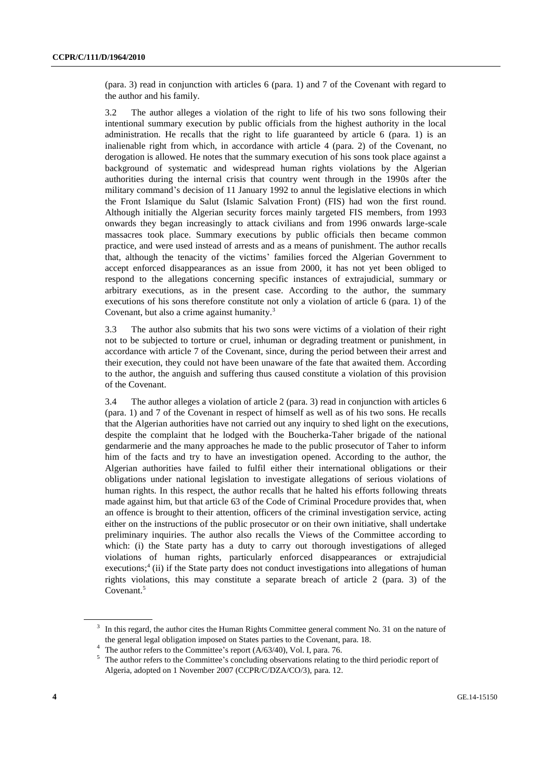(para. 3) read in conjunction with articles 6 (para. 1) and 7 of the Covenant with regard to the author and his family.

3.2 The author alleges a violation of the right to life of his two sons following their intentional summary execution by public officials from the highest authority in the local administration. He recalls that the right to life guaranteed by article 6 (para. 1) is an inalienable right from which, in accordance with article 4 (para. 2) of the Covenant, no derogation is allowed. He notes that the summary execution of his sons took place against a background of systematic and widespread human rights violations by the Algerian authorities during the internal crisis that country went through in the 1990s after the military command's decision of 11 January 1992 to annul the legislative elections in which the Front Islamique du Salut (Islamic Salvation Front) (FIS) had won the first round. Although initially the Algerian security forces mainly targeted FIS members, from 1993 onwards they began increasingly to attack civilians and from 1996 onwards large-scale massacres took place. Summary executions by public officials then became common practice, and were used instead of arrests and as a means of punishment. The author recalls that, although the tenacity of the victims' families forced the Algerian Government to accept enforced disappearances as an issue from 2000, it has not yet been obliged to respond to the allegations concerning specific instances of extrajudicial, summary or arbitrary executions, as in the present case. According to the author, the summary executions of his sons therefore constitute not only a violation of article 6 (para. 1) of the Covenant, but also a crime against humanity.<sup>3</sup>

3.3 The author also submits that his two sons were victims of a violation of their right not to be subjected to torture or cruel, inhuman or degrading treatment or punishment, in accordance with article 7 of the Covenant, since, during the period between their arrest and their execution, they could not have been unaware of the fate that awaited them. According to the author, the anguish and suffering thus caused constitute a violation of this provision of the Covenant.

3.4 The author alleges a violation of article 2 (para. 3) read in conjunction with articles 6 (para. 1) and 7 of the Covenant in respect of himself as well as of his two sons. He recalls that the Algerian authorities have not carried out any inquiry to shed light on the executions, despite the complaint that he lodged with the Boucherka-Taher brigade of the national gendarmerie and the many approaches he made to the public prosecutor of Taher to inform him of the facts and try to have an investigation opened. According to the author, the Algerian authorities have failed to fulfil either their international obligations or their obligations under national legislation to investigate allegations of serious violations of human rights. In this respect, the author recalls that he halted his efforts following threats made against him, but that article 63 of the Code of Criminal Procedure provides that, when an offence is brought to their attention, officers of the criminal investigation service, acting either on the instructions of the public prosecutor or on their own initiative, shall undertake preliminary inquiries. The author also recalls the Views of the Committee according to which: (i) the State party has a duty to carry out thorough investigations of alleged violations of human rights, particularly enforced disappearances or extrajudicial executions;<sup>4</sup> (ii) if the State party does not conduct investigations into allegations of human rights violations, this may constitute a separate breach of article 2 (para. 3) of the Covenant.<sup>5</sup>

<sup>&</sup>lt;sup>3</sup> In this regard, the author cites the Human Rights Committee general comment No. 31 on the nature of the general legal obligation imposed on States parties to the Covenant, para. 18.

The author refers to the Committee's report (A/63/40), Vol. I, para. 76.

<sup>&</sup>lt;sup>5</sup> The author refers to the Committee's concluding observations relating to the third periodic report of Algeria, adopted on 1 November 2007 (CCPR/C/DZA/CO/3), para. 12.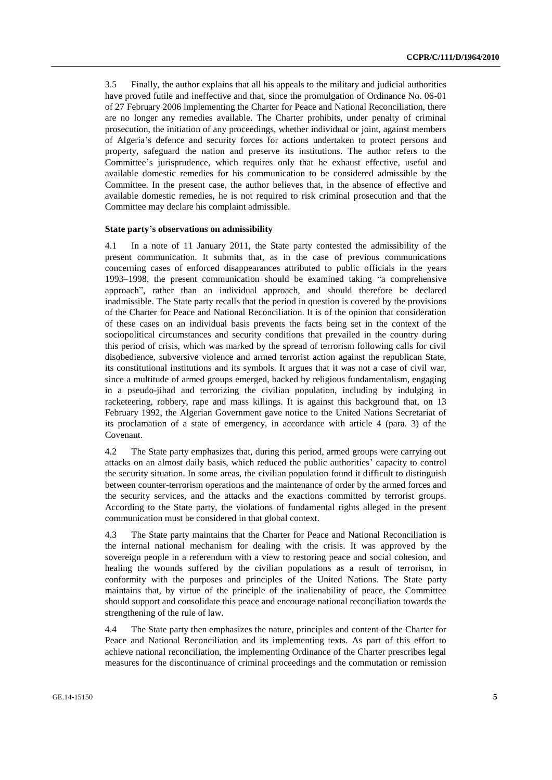3.5 Finally, the author explains that all his appeals to the military and judicial authorities have proved futile and ineffective and that, since the promulgation of Ordinance No. 06-01 of 27 February 2006 implementing the Charter for Peace and National Reconciliation, there are no longer any remedies available. The Charter prohibits, under penalty of criminal prosecution, the initiation of any proceedings, whether individual or joint, against members of Algeria's defence and security forces for actions undertaken to protect persons and property, safeguard the nation and preserve its institutions. The author refers to the Committee's jurisprudence, which requires only that he exhaust effective, useful and available domestic remedies for his communication to be considered admissible by the Committee. In the present case, the author believes that, in the absence of effective and available domestic remedies, he is not required to risk criminal prosecution and that the Committee may declare his complaint admissible.

#### **State party's observations on admissibility**

4.1 In a note of 11 January 2011, the State party contested the admissibility of the present communication. It submits that, as in the case of previous communications concerning cases of enforced disappearances attributed to public officials in the years 1993–1998, the present communication should be examined taking "a comprehensive approach", rather than an individual approach, and should therefore be declared inadmissible. The State party recalls that the period in question is covered by the provisions of the Charter for Peace and National Reconciliation. It is of the opinion that consideration of these cases on an individual basis prevents the facts being set in the context of the sociopolitical circumstances and security conditions that prevailed in the country during this period of crisis, which was marked by the spread of terrorism following calls for civil disobedience, subversive violence and armed terrorist action against the republican State, its constitutional institutions and its symbols. It argues that it was not a case of civil war, since a multitude of armed groups emerged, backed by religious fundamentalism, engaging in a pseudo-jihad and terrorizing the civilian population, including by indulging in racketeering, robbery, rape and mass killings. It is against this background that, on 13 February 1992, the Algerian Government gave notice to the United Nations Secretariat of its proclamation of a state of emergency, in accordance with article 4 (para. 3) of the Covenant.

4.2 The State party emphasizes that, during this period, armed groups were carrying out attacks on an almost daily basis, which reduced the public authorities' capacity to control the security situation. In some areas, the civilian population found it difficult to distinguish between counter-terrorism operations and the maintenance of order by the armed forces and the security services, and the attacks and the exactions committed by terrorist groups. According to the State party, the violations of fundamental rights alleged in the present communication must be considered in that global context.

4.3 The State party maintains that the Charter for Peace and National Reconciliation is the internal national mechanism for dealing with the crisis. It was approved by the sovereign people in a referendum with a view to restoring peace and social cohesion, and healing the wounds suffered by the civilian populations as a result of terrorism, in conformity with the purposes and principles of the United Nations. The State party maintains that, by virtue of the principle of the inalienability of peace, the Committee should support and consolidate this peace and encourage national reconciliation towards the strengthening of the rule of law.

4.4 The State party then emphasizes the nature, principles and content of the Charter for Peace and National Reconciliation and its implementing texts. As part of this effort to achieve national reconciliation, the implementing Ordinance of the Charter prescribes legal measures for the discontinuance of criminal proceedings and the commutation or remission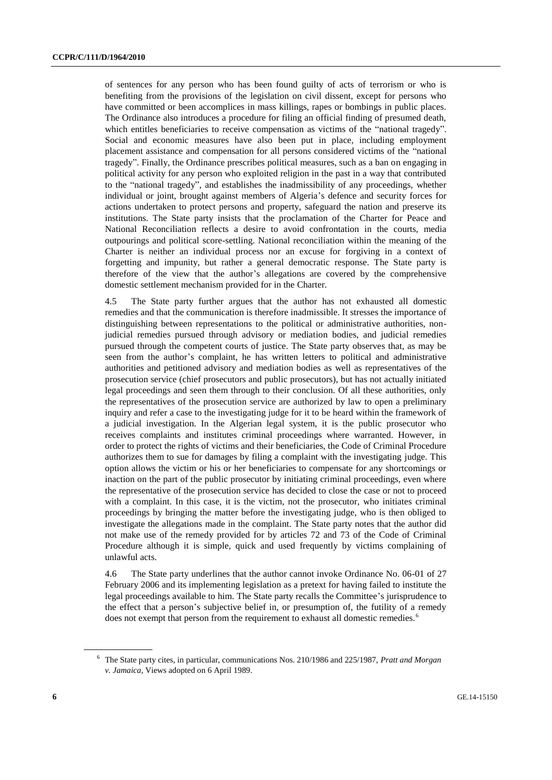of sentences for any person who has been found guilty of acts of terrorism or who is benefiting from the provisions of the legislation on civil dissent, except for persons who have committed or been accomplices in mass killings, rapes or bombings in public places. The Ordinance also introduces a procedure for filing an official finding of presumed death, which entitles beneficiaries to receive compensation as victims of the "national tragedy". Social and economic measures have also been put in place, including employment placement assistance and compensation for all persons considered victims of the "national tragedy". Finally, the Ordinance prescribes political measures, such as a ban on engaging in political activity for any person who exploited religion in the past in a way that contributed to the "national tragedy", and establishes the inadmissibility of any proceedings, whether individual or joint, brought against members of Algeria's defence and security forces for actions undertaken to protect persons and property, safeguard the nation and preserve its institutions. The State party insists that the proclamation of the Charter for Peace and National Reconciliation reflects a desire to avoid confrontation in the courts, media outpourings and political score-settling. National reconciliation within the meaning of the Charter is neither an individual process nor an excuse for forgiving in a context of forgetting and impunity, but rather a general democratic response. The State party is therefore of the view that the author's allegations are covered by the comprehensive domestic settlement mechanism provided for in the Charter.

4.5 The State party further argues that the author has not exhausted all domestic remedies and that the communication is therefore inadmissible. It stresses the importance of distinguishing between representations to the political or administrative authorities, nonjudicial remedies pursued through advisory or mediation bodies, and judicial remedies pursued through the competent courts of justice. The State party observes that, as may be seen from the author's complaint, he has written letters to political and administrative authorities and petitioned advisory and mediation bodies as well as representatives of the prosecution service (chief prosecutors and public prosecutors), but has not actually initiated legal proceedings and seen them through to their conclusion. Of all these authorities, only the representatives of the prosecution service are authorized by law to open a preliminary inquiry and refer a case to the investigating judge for it to be heard within the framework of a judicial investigation. In the Algerian legal system, it is the public prosecutor who receives complaints and institutes criminal proceedings where warranted. However, in order to protect the rights of victims and their beneficiaries, the Code of Criminal Procedure authorizes them to sue for damages by filing a complaint with the investigating judge. This option allows the victim or his or her beneficiaries to compensate for any shortcomings or inaction on the part of the public prosecutor by initiating criminal proceedings, even where the representative of the prosecution service has decided to close the case or not to proceed with a complaint. In this case, it is the victim, not the prosecutor, who initiates criminal proceedings by bringing the matter before the investigating judge, who is then obliged to investigate the allegations made in the complaint. The State party notes that the author did not make use of the remedy provided for by articles 72 and 73 of the Code of Criminal Procedure although it is simple, quick and used frequently by victims complaining of unlawful acts.

4.6 The State party underlines that the author cannot invoke Ordinance No. 06-01 of 27 February 2006 and its implementing legislation as a pretext for having failed to institute the legal proceedings available to him. The State party recalls the Committee's jurisprudence to the effect that a person's subjective belief in, or presumption of, the futility of a remedy does not exempt that person from the requirement to exhaust all domestic remedies.<sup>6</sup>

<sup>6</sup> The State party cites, in particular, communications Nos. 210/1986 and 225/1987, *Pratt and Morgan v. Jamaica*, Views adopted on 6 April 1989.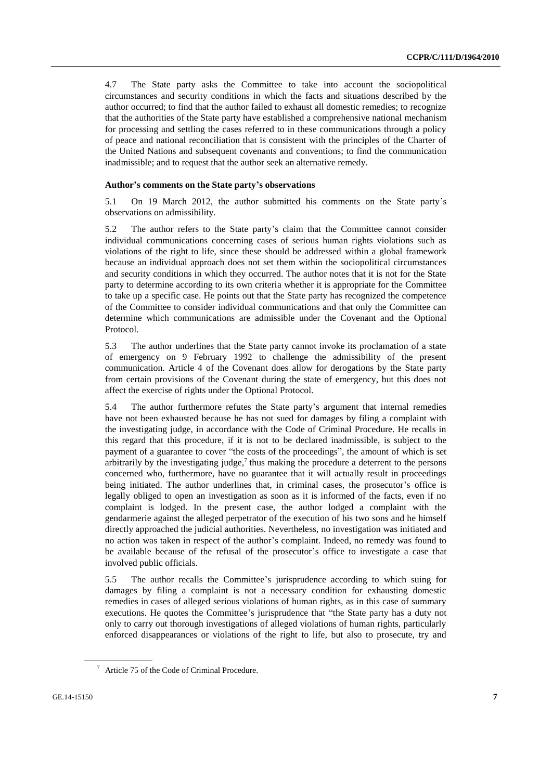4.7 The State party asks the Committee to take into account the sociopolitical circumstances and security conditions in which the facts and situations described by the author occurred; to find that the author failed to exhaust all domestic remedies; to recognize that the authorities of the State party have established a comprehensive national mechanism for processing and settling the cases referred to in these communications through a policy of peace and national reconciliation that is consistent with the principles of the Charter of the United Nations and subsequent covenants and conventions; to find the communication inadmissible; and to request that the author seek an alternative remedy.

#### **Author's comments on the State party's observations**

5.1 On 19 March 2012, the author submitted his comments on the State party's observations on admissibility.

5.2 The author refers to the State party's claim that the Committee cannot consider individual communications concerning cases of serious human rights violations such as violations of the right to life, since these should be addressed within a global framework because an individual approach does not set them within the sociopolitical circumstances and security conditions in which they occurred. The author notes that it is not for the State party to determine according to its own criteria whether it is appropriate for the Committee to take up a specific case. He points out that the State party has recognized the competence of the Committee to consider individual communications and that only the Committee can determine which communications are admissible under the Covenant and the Optional Protocol.

5.3 The author underlines that the State party cannot invoke its proclamation of a state of emergency on 9 February 1992 to challenge the admissibility of the present communication. Article 4 of the Covenant does allow for derogations by the State party from certain provisions of the Covenant during the state of emergency, but this does not affect the exercise of rights under the Optional Protocol.

5.4 The author furthermore refutes the State party's argument that internal remedies have not been exhausted because he has not sued for damages by filing a complaint with the investigating judge, in accordance with the Code of Criminal Procedure. He recalls in this regard that this procedure, if it is not to be declared inadmissible, is subject to the payment of a guarantee to cover "the costs of the proceedings", the amount of which is set arbitrarily by the investigating judge,<sup>7</sup> thus making the procedure a deterrent to the persons concerned who, furthermore, have no guarantee that it will actually result in proceedings being initiated. The author underlines that, in criminal cases, the prosecutor's office is legally obliged to open an investigation as soon as it is informed of the facts, even if no complaint is lodged. In the present case, the author lodged a complaint with the gendarmerie against the alleged perpetrator of the execution of his two sons and he himself directly approached the judicial authorities. Nevertheless, no investigation was initiated and no action was taken in respect of the author's complaint. Indeed, no remedy was found to be available because of the refusal of the prosecutor's office to investigate a case that involved public officials.

5.5 The author recalls the Committee's jurisprudence according to which suing for damages by filing a complaint is not a necessary condition for exhausting domestic remedies in cases of alleged serious violations of human rights, as in this case of summary executions. He quotes the Committee's jurisprudence that "the State party has a duty not only to carry out thorough investigations of alleged violations of human rights, particularly enforced disappearances or violations of the right to life, but also to prosecute, try and

<sup>7</sup> Article 75 of the Code of Criminal Procedure.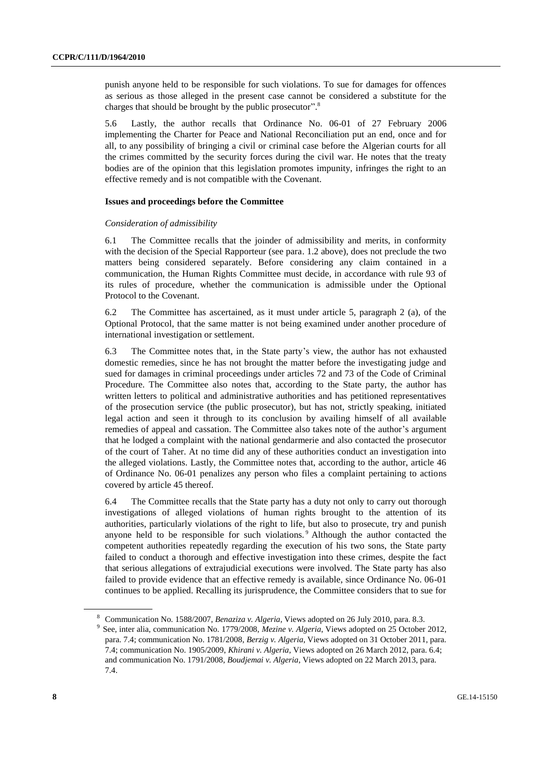punish anyone held to be responsible for such violations. To sue for damages for offences as serious as those alleged in the present case cannot be considered a substitute for the charges that should be brought by the public prosecutor".<sup>8</sup>

5.6 Lastly, the author recalls that Ordinance No. 06-01 of 27 February 2006 implementing the Charter for Peace and National Reconciliation put an end, once and for all, to any possibility of bringing a civil or criminal case before the Algerian courts for all the crimes committed by the security forces during the civil war. He notes that the treaty bodies are of the opinion that this legislation promotes impunity, infringes the right to an effective remedy and is not compatible with the Covenant.

#### **Issues and proceedings before the Committee**

#### *Consideration of admissibility*

6.1 The Committee recalls that the joinder of admissibility and merits, in conformity with the decision of the Special Rapporteur (see para. 1.2 above), does not preclude the two matters being considered separately. Before considering any claim contained in a communication, the Human Rights Committee must decide, in accordance with rule 93 of its rules of procedure, whether the communication is admissible under the Optional Protocol to the Covenant.

6.2 The Committee has ascertained, as it must under article 5, paragraph 2 (a), of the Optional Protocol, that the same matter is not being examined under another procedure of international investigation or settlement.

6.3 The Committee notes that, in the State party's view, the author has not exhausted domestic remedies, since he has not brought the matter before the investigating judge and sued for damages in criminal proceedings under articles 72 and 73 of the Code of Criminal Procedure. The Committee also notes that, according to the State party, the author has written letters to political and administrative authorities and has petitioned representatives of the prosecution service (the public prosecutor), but has not, strictly speaking, initiated legal action and seen it through to its conclusion by availing himself of all available remedies of appeal and cassation. The Committee also takes note of the author's argument that he lodged a complaint with the national gendarmerie and also contacted the prosecutor of the court of Taher. At no time did any of these authorities conduct an investigation into the alleged violations. Lastly, the Committee notes that, according to the author, article 46 of Ordinance No. 06-01 penalizes any person who files a complaint pertaining to actions covered by article 45 thereof.

6.4 The Committee recalls that the State party has a duty not only to carry out thorough investigations of alleged violations of human rights brought to the attention of its authorities, particularly violations of the right to life, but also to prosecute, try and punish anyone held to be responsible for such violations. <sup>9</sup> Although the author contacted the competent authorities repeatedly regarding the execution of his two sons, the State party failed to conduct a thorough and effective investigation into these crimes, despite the fact that serious allegations of extrajudicial executions were involved. The State party has also failed to provide evidence that an effective remedy is available, since Ordinance No. 06-01 continues to be applied. Recalling its jurisprudence, the Committee considers that to sue for

<sup>8</sup> Communication No. 1588/2007, *Benaziza v. Algeria*, Views adopted on 26 July 2010, para. 8.3.

<sup>9</sup> See, inter alia, communication No. 1779/2008, *Mezine v. Algeria*, Views adopted on 25 October 2012, para. 7.4; communication No. 1781/2008, *Berzig v. Algeria*, Views adopted on 31 October 2011, para. 7.4; communication No. 1905/2009, *Khirani v. Algeria*, Views adopted on 26 March 2012, para. 6.4; and communication No. 1791/2008, *Boudjemai v. Algeria*, Views adopted on 22 March 2013, para. 7.4.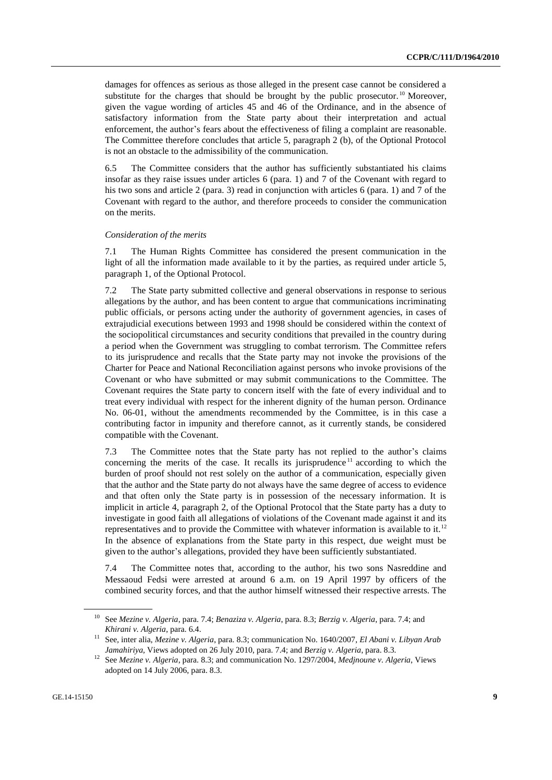damages for offences as serious as those alleged in the present case cannot be considered a substitute for the charges that should be brought by the public prosecutor.<sup>10</sup> Moreover, given the vague wording of articles 45 and 46 of the Ordinance, and in the absence of satisfactory information from the State party about their interpretation and actual enforcement, the author's fears about the effectiveness of filing a complaint are reasonable. The Committee therefore concludes that article 5, paragraph 2 (b), of the Optional Protocol is not an obstacle to the admissibility of the communication.

6.5 The Committee considers that the author has sufficiently substantiated his claims insofar as they raise issues under articles 6 (para. 1) and 7 of the Covenant with regard to his two sons and article 2 (para. 3) read in conjunction with articles 6 (para. 1) and 7 of the Covenant with regard to the author, and therefore proceeds to consider the communication on the merits.

#### *Consideration of the merits*

7.1 The Human Rights Committee has considered the present communication in the light of all the information made available to it by the parties, as required under article 5. paragraph 1, of the Optional Protocol.

7.2 The State party submitted collective and general observations in response to serious allegations by the author, and has been content to argue that communications incriminating public officials, or persons acting under the authority of government agencies, in cases of extrajudicial executions between 1993 and 1998 should be considered within the context of the sociopolitical circumstances and security conditions that prevailed in the country during a period when the Government was struggling to combat terrorism. The Committee refers to its jurisprudence and recalls that the State party may not invoke the provisions of the Charter for Peace and National Reconciliation against persons who invoke provisions of the Covenant or who have submitted or may submit communications to the Committee. The Covenant requires the State party to concern itself with the fate of every individual and to treat every individual with respect for the inherent dignity of the human person. Ordinance No. 06-01, without the amendments recommended by the Committee, is in this case a contributing factor in impunity and therefore cannot, as it currently stands, be considered compatible with the Covenant.

7.3 The Committee notes that the State party has not replied to the author's claims concerning the merits of the case. It recalls its jurisprudence<sup>11</sup> according to which the burden of proof should not rest solely on the author of a communication, especially given that the author and the State party do not always have the same degree of access to evidence and that often only the State party is in possession of the necessary information. It is implicit in article 4, paragraph 2, of the Optional Protocol that the State party has a duty to investigate in good faith all allegations of violations of the Covenant made against it and its representatives and to provide the Committee with whatever information is available to it.<sup>12</sup> In the absence of explanations from the State party in this respect, due weight must be given to the author's allegations, provided they have been sufficiently substantiated.

7.4 The Committee notes that, according to the author, his two sons Nasreddine and Messaoud Fedsi were arrested at around 6 a.m. on 19 April 1997 by officers of the combined security forces, and that the author himself witnessed their respective arrests. The

<sup>10</sup> See *Mezine v. Algeria*, para. 7.4; *Benaziza v. Algeria*, para. 8.3; *Berzig v. Algeria*, para. 7.4; and *Khirani v. Algeria*, para. 6.4.

<sup>11</sup> See, inter alia, *Mezine v. Algeria*, para. 8.3; communication No. 1640/2007, *El Abani v. Libyan Arab Jamahiriya*, Views adopted on 26 July 2010, para. 7.4; and *Berzig v. Algeria*, para. 8.3.

<sup>12</sup> See *Mezine v. Algeria*, para. 8.3; and communication No. 1297/2004, *Medjnoune v. Algeria*, Views adopted on 14 July 2006, para. 8.3.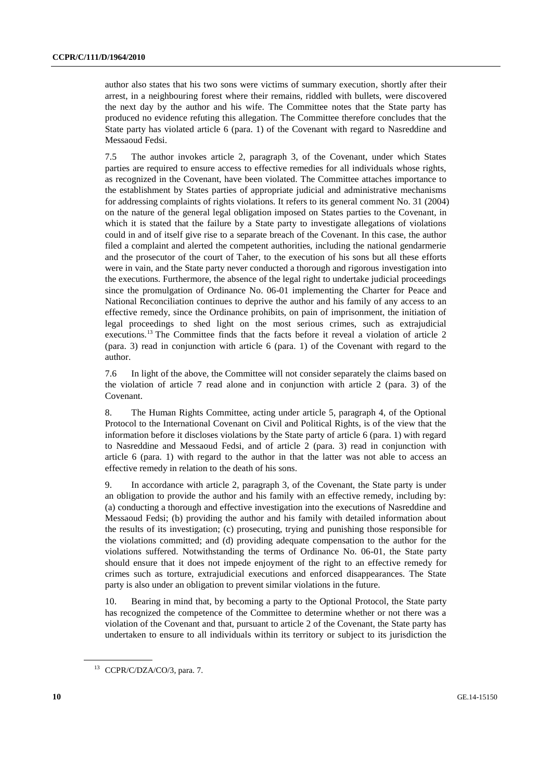author also states that his two sons were victims of summary execution, shortly after their arrest, in a neighbouring forest where their remains, riddled with bullets, were discovered the next day by the author and his wife. The Committee notes that the State party has produced no evidence refuting this allegation. The Committee therefore concludes that the State party has violated article 6 (para. 1) of the Covenant with regard to Nasreddine and Messaoud Fedsi.

7.5 The author invokes article 2, paragraph 3, of the Covenant, under which States parties are required to ensure access to effective remedies for all individuals whose rights, as recognized in the Covenant, have been violated. The Committee attaches importance to the establishment by States parties of appropriate judicial and administrative mechanisms for addressing complaints of rights violations. It refers to its general comment No. 31 (2004) on the nature of the general legal obligation imposed on States parties to the Covenant, in which it is stated that the failure by a State party to investigate allegations of violations could in and of itself give rise to a separate breach of the Covenant. In this case, the author filed a complaint and alerted the competent authorities, including the national gendarmerie and the prosecutor of the court of Taher, to the execution of his sons but all these efforts were in vain, and the State party never conducted a thorough and rigorous investigation into the executions. Furthermore, the absence of the legal right to undertake judicial proceedings since the promulgation of Ordinance No. 06-01 implementing the Charter for Peace and National Reconciliation continues to deprive the author and his family of any access to an effective remedy, since the Ordinance prohibits, on pain of imprisonment, the initiation of legal proceedings to shed light on the most serious crimes, such as extrajudicial executions.<sup>13</sup> The Committee finds that the facts before it reveal a violation of article 2 (para. 3) read in conjunction with article 6 (para. 1) of the Covenant with regard to the author.

7.6 In light of the above, the Committee will not consider separately the claims based on the violation of article 7 read alone and in conjunction with article 2 (para. 3) of the Covenant.

8. The Human Rights Committee, acting under article 5, paragraph 4, of the Optional Protocol to the International Covenant on Civil and Political Rights, is of the view that the information before it discloses violations by the State party of article 6 (para. 1) with regard to Nasreddine and Messaoud Fedsi, and of article 2 (para. 3) read in conjunction with article 6 (para. 1) with regard to the author in that the latter was not able to access an effective remedy in relation to the death of his sons.

9. In accordance with article 2, paragraph 3, of the Covenant, the State party is under an obligation to provide the author and his family with an effective remedy, including by: (a) conducting a thorough and effective investigation into the executions of Nasreddine and Messaoud Fedsi; (b) providing the author and his family with detailed information about the results of its investigation; (c) prosecuting, trying and punishing those responsible for the violations committed; and (d) providing adequate compensation to the author for the violations suffered. Notwithstanding the terms of Ordinance No. 06-01, the State party should ensure that it does not impede enjoyment of the right to an effective remedy for crimes such as torture, extrajudicial executions and enforced disappearances. The State party is also under an obligation to prevent similar violations in the future.

10. Bearing in mind that, by becoming a party to the Optional Protocol, the State party has recognized the competence of the Committee to determine whether or not there was a violation of the Covenant and that, pursuant to article 2 of the Covenant, the State party has undertaken to ensure to all individuals within its territory or subject to its jurisdiction the

<sup>&</sup>lt;sup>13</sup> CCPR/C/DZA/CO/3, para. 7.